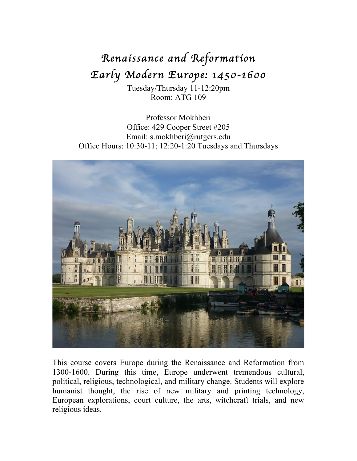# *Renaissance and Reformation Early Modern Europe: 1450-1600*

Tuesday/Thursday 11-12:20pm Room: ATG 109

Professor Mokhberi Office: 429 Cooper Street #205 Email: s.mokhberi@rutgers.edu Office Hours: 10:30-11; 12:20-1:20 Tuesdays and Thursdays



This course covers Europe during the Renaissance and Reformation from 1300-1600. During this time, Europe underwent tremendous cultural, political, religious, technological, and military change. Students will explore humanist thought, the rise of new military and printing technology, European explorations, court culture, the arts, witchcraft trials, and new religious ideas.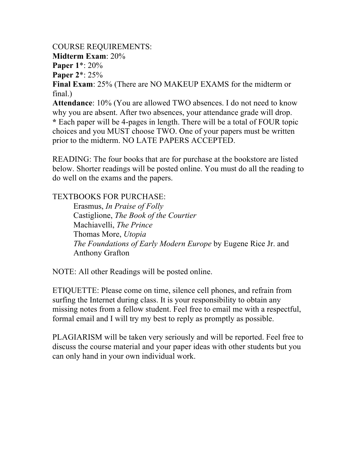COURSE REQUIREMENTS: **Midterm Exam**: 20% **Paper 1**\*: 20% **Paper 2**\*: 25% **Final Exam**: 25% (There are NO MAKEUP EXAMS for the midterm or final.)

**Attendance**: 10% (You are allowed TWO absences. I do not need to know why you are absent. After two absences, your attendance grade will drop. **\*** Each paper will be 4-pages in length. There will be a total of FOUR topic choices and you MUST choose TWO. One of your papers must be written prior to the midterm. NO LATE PAPERS ACCEPTED.

READING: The four books that are for purchase at the bookstore are listed below. Shorter readings will be posted online. You must do all the reading to do well on the exams and the papers.

## TEXTBOOKS FOR PURCHASE:

Erasmus, *In Praise of Folly* Castiglione, *The Book of the Courtier* Machiavelli, *The Prince* Thomas More, *Utopia The Foundations of Early Modern Europe* by Eugene Rice Jr. and Anthony Grafton

NOTE: All other Readings will be posted online.

ETIQUETTE: Please come on time, silence cell phones, and refrain from surfing the Internet during class. It is your responsibility to obtain any missing notes from a fellow student. Feel free to email me with a respectful, formal email and I will try my best to reply as promptly as possible.

PLAGIARISM will be taken very seriously and will be reported. Feel free to discuss the course material and your paper ideas with other students but you can only hand in your own individual work.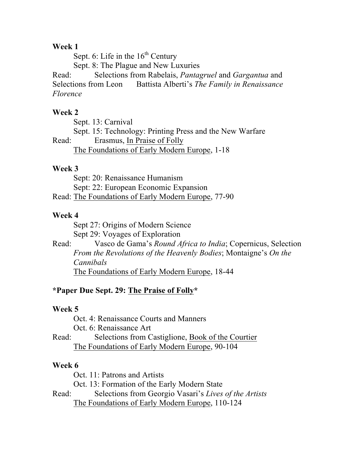## **Week 1**

Sept. 6: Life in the  $16<sup>th</sup>$  Century

Sept. 8: The Plague and New Luxuries

Read: Selections from Rabelais, *Pantagruel* and *Gargantua* and Selections from Leon Battista Alberti's *The Family in Renaissance Florence*

## **Week 2**

Sept. 13: Carnival

Sept. 15: Technology: Printing Press and the New Warfare

Read: Erasmus, In Praise of Folly The Foundations of Early Modern Europe, 1-18

## **Week 3**

Sept: 20: Renaissance Humanism Sept: 22: European Economic Expansion Read: The Foundations of Early Modern Europe, 77-90

## **Week 4**

Sept 27: Origins of Modern Science Sept 29: Voyages of Exploration

Read: Vasco de Gama's *Round Africa to India*; Copernicus, Selection *From the Revolutions of the Heavenly Bodies*; Montaigne's *On the Cannibals* The Foundations of Early Modern Europe, 18-44

## **\*Paper Due Sept. 29: The Praise of Folly\***

## **Week 5**

Oct. 4: Renaissance Courts and Manners

Oct. 6: Renaissance Art

Read: Selections from Castiglione, Book of the Courtier The Foundations of Early Modern Europe, 90-104

## **Week 6**

Oct. 11: Patrons and Artists

Oct. 13: Formation of the Early Modern State

Read: Selections from Georgio Vasari's *Lives of the Artists* The Foundations of Early Modern Europe, 110-124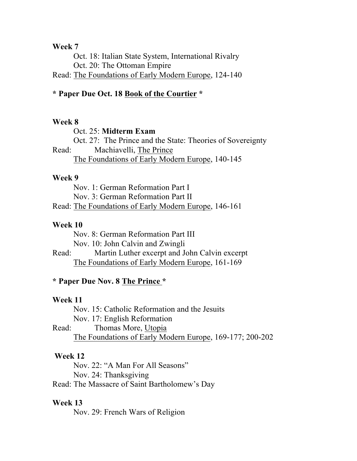#### **Week 7**

Oct. 18: Italian State System, International Rivalry Oct. 20: The Ottoman Empire Read: The Foundations of Early Modern Europe, 124-140

## **\* Paper Due Oct. 18 Book of the Courtier \***

#### **Week 8**

Oct. 25: **Midterm Exam** Oct. 27: The Prince and the State: Theories of Sovereignty Read: Machiavelli, The Prince The Foundations of Early Modern Europe, 140-145

#### **Week 9**

Nov. 1: German Reformation Part I Nov. 3: German Reformation Part II Read: The Foundations of Early Modern Europe, 146-161

#### **Week 10**

Nov. 8: German Reformation Part III Nov. 10: John Calvin and Zwingli

Read: Martin Luther excerpt and John Calvin excerpt The Foundations of Early Modern Europe, 161-169

#### **\* Paper Due Nov. 8 The Prince \***

#### **Week 11**

Nov. 15: Catholic Reformation and the Jesuits

Nov. 17: English Reformation

Read: Thomas More, Utopia The Foundations of Early Modern Europe, 169-177; 200-202

#### **Week 12**

Nov. 22: "A Man For All Seasons" Nov. 24: Thanksgiving

Read: The Massacre of Saint Bartholomew's Day

#### **Week 13**

Nov. 29: French Wars of Religion